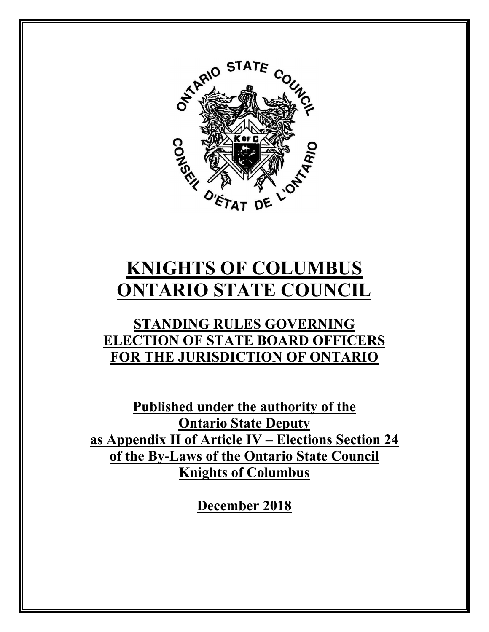

# **KNIGHTS OF COLUMBUS ONTARIO STATE COUNCIL**

# **STANDING RULES GOVERNING ELECTION OF STATE BOARD OFFICERS FOR THE JURISDICTION OF ONTARIO**

**Published under the authority of the Ontario State Deputy as Appendix II of Article IV – Elections Section 24 of the By-Laws of the Ontario State Council Knights of Columbus** 

**December 2018**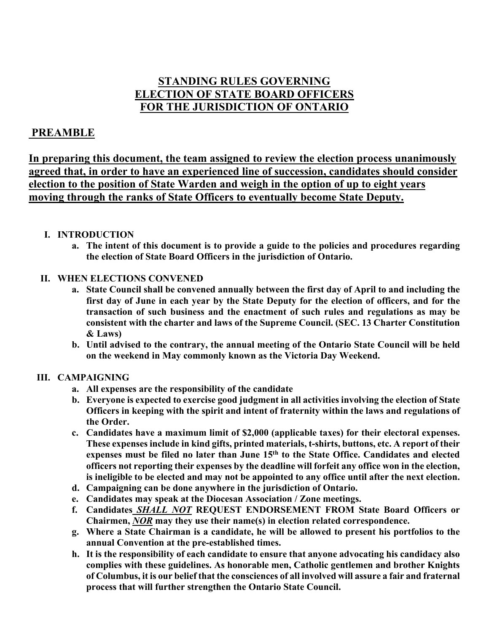## **STANDING RULES GOVERNING ELECTION OF STATE BOARD OFFICERS FOR THE JURISDICTION OF ONTARIO**

### **PREAMBLE**

**In preparing this document, the team assigned to review the election process unanimously agreed that, in order to have an experienced line of succession, candidates should consider election to the position of State Warden and weigh in the option of up to eight years moving through the ranks of State Officers to eventually become State Deputy.** 

#### **I. INTRODUCTION**

**a. The intent of this document is to provide a guide to the policies and procedures regarding the election of State Board Officers in the jurisdiction of Ontario.** 

#### **II. WHEN ELECTIONS CONVENED**

- **a. State Council shall be convened annually between the first day of April to and including the first day of June in each year by the State Deputy for the election of officers, and for the transaction of such business and the enactment of such rules and regulations as may be consistent with the charter and laws of the Supreme Council. (SEC. 13 Charter Constitution & Laws)**
- **b. Until advised to the contrary, the annual meeting of the Ontario State Council will be held on the weekend in May commonly known as the Victoria Day Weekend.**

#### **III. CAMPAIGNING**

- **a. All expenses are the responsibility of the candidate**
- **b. Everyone is expected to exercise good judgment in all activities involving the election of State Officers in keeping with the spirit and intent of fraternity within the laws and regulations of the Order.**
- **c. Candidates have a maximum limit of \$2,000 (applicable taxes) for their electoral expenses. These expenses include in kind gifts, printed materials, t-shirts, buttons, etc. A report of their expenses must be filed no later than June 15th to the State Office. Candidates and elected officers not reporting their expenses by the deadline will forfeit any office won in the election, is ineligible to be elected and may not be appointed to any office until after the next election.**
- **d. Campaigning can be done anywhere in the jurisdiction of Ontario.**
- **e. Candidates may speak at the Diocesan Association / Zone meetings.**
- **f. Candidates** *SHALL NOT* **REQUEST ENDORSEMENT FROM State Board Officers or Chairmen,** *NOR* **may they use their name(s) in election related correspondence.**
- **g. Where a State Chairman is a candidate, he will be allowed to present his portfolios to the annual Convention at the pre-established times.**
- **h. It is the responsibility of each candidate to ensure that anyone advocating his candidacy also complies with these guidelines. As honorable men, Catholic gentlemen and brother Knights of Columbus, it is our belief that the consciences of all involved will assure a fair and fraternal process that will further strengthen the Ontario State Council.**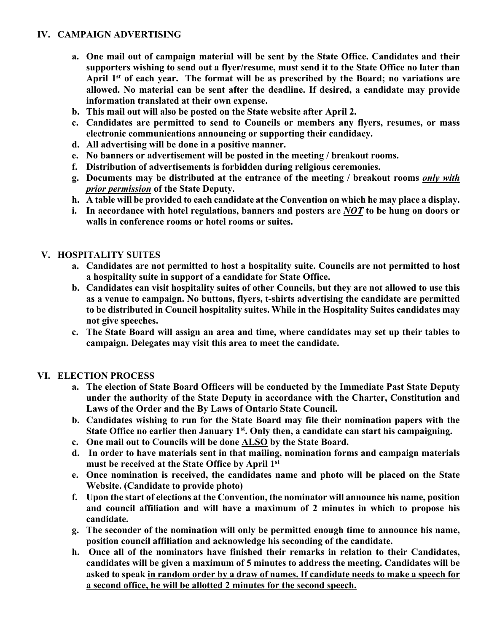#### **IV. CAMPAIGN ADVERTISING**

- **a. One mail out of campaign material will be sent by the State Office. Candidates and their supporters wishing to send out a flyer/resume, must send it to the State Office no later than April 1st of each year. The format will be as prescribed by the Board; no variations are allowed. No material can be sent after the deadline. If desired, a candidate may provide information translated at their own expense.**
- **b. This mail out will also be posted on the State website after April 2.**
- **c. Candidates are permitted to send to Councils or members any flyers, resumes, or mass electronic communications announcing or supporting their candidacy.**
- **d. All advertising will be done in a positive manner.**
- **e. No banners or advertisement will be posted in the meeting / breakout rooms.**
- **f. Distribution of advertisements is forbidden during religious ceremonies.**
- **g. Documents may be distributed at the entrance of the meeting / breakout rooms** *only with prior permission* **of the State Deputy.**
- **h. A table will be provided to each candidate at the Convention on which he may place a display.**
- **i. In accordance with hotel regulations, banners and posters are** *NOT* **to be hung on doors or walls in conference rooms or hotel rooms or suites.**

#### **V. HOSPITALITY SUITES**

- **a. Candidates are not permitted to host a hospitality suite. Councils are not permitted to host a hospitality suite in support of a candidate for State Office.**
- **b. Candidates can visit hospitality suites of other Councils, but they are not allowed to use this as a venue to campaign. No buttons, flyers, t-shirts advertising the candidate are permitted to be distributed in Council hospitality suites. While in the Hospitality Suites candidates may not give speeches.**
- **c. The State Board will assign an area and time, where candidates may set up their tables to campaign. Delegates may visit this area to meet the candidate.**

#### **VI. ELECTION PROCESS**

- **a. The election of State Board Officers will be conducted by the Immediate Past State Deputy under the authority of the State Deputy in accordance with the Charter, Constitution and Laws of the Order and the By Laws of Ontario State Council.**
- **b. Candidates wishing to run for the State Board may file their nomination papers with the**  State Office no earlier then January 1<sup>st</sup>. Only then, a candidate can start his campaigning.
- **c. One mail out to Councils will be done ALSO by the State Board.**
- **d. In order to have materials sent in that mailing, nomination forms and campaign materials must be received at the State Office by April 1st**
- **e. Once nomination is received, the candidates name and photo will be placed on the State Website. (Candidate to provide photo)**
- **f. Upon the start of elections at the Convention, the nominator will announce his name, position and council affiliation and will have a maximum of 2 minutes in which to propose his candidate.**
- **g. The seconder of the nomination will only be permitted enough time to announce his name, position council affiliation and acknowledge his seconding of the candidate.**
- **h. Once all of the nominators have finished their remarks in relation to their Candidates, candidates will be given a maximum of 5 minutes to address the meeting. Candidates will be asked to speak in random order by a draw of names. If candidate needs to make a speech for a second office, he will be allotted 2 minutes for the second speech.**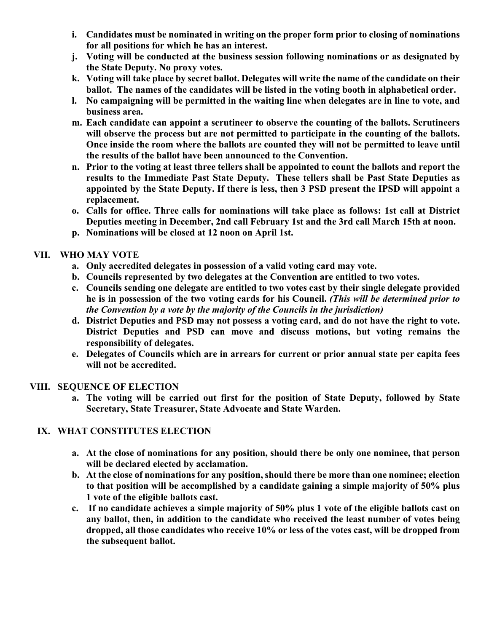- **i. Candidates must be nominated in writing on the proper form prior to closing of nominations for all positions for which he has an interest.**
- **j. Voting will be conducted at the business session following nominations or as designated by the State Deputy. No proxy votes.**
- **k. Voting will take place by secret ballot. Delegates will write the name of the candidate on their ballot. The names of the candidates will be listed in the voting booth in alphabetical order.**
- **l. No campaigning will be permitted in the waiting line when delegates are in line to vote, and business area.**
- **m. Each candidate can appoint a scrutineer to observe the counting of the ballots. Scrutineers will observe the process but are not permitted to participate in the counting of the ballots. Once inside the room where the ballots are counted they will not be permitted to leave until the results of the ballot have been announced to the Convention.**
- **n. Prior to the voting at least three tellers shall be appointed to count the ballots and report the results to the Immediate Past State Deputy. These tellers shall be Past State Deputies as appointed by the State Deputy. If there is less, then 3 PSD present the IPSD will appoint a replacement.**
- **o. Calls for office. Three calls for nominations will take place as follows: 1st call at District Deputies meeting in December, 2nd call February 1st and the 3rd call March 15th at noon.**
- **p. Nominations will be closed at 12 noon on April 1st.**

#### **VII. WHO MAY VOTE**

- **a. Only accredited delegates in possession of a valid voting card may vote.**
- **b. Councils represented by two delegates at the Convention are entitled to two votes.**
- **c. Councils sending one delegate are entitled to two votes cast by their single delegate provided he is in possession of the two voting cards for his Council.** *(This will be determined prior to the Convention by a vote by the majority of the Councils in the jurisdiction)*
- **d. District Deputies and PSD may not possess a voting card, and do not have the right to vote. District Deputies and PSD can move and discuss motions, but voting remains the responsibility of delegates.**
- **e. Delegates of Councils which are in arrears for current or prior annual state per capita fees will not be accredited.**

#### **VIII. SEQUENCE OF ELECTION**

**a. The voting will be carried out first for the position of State Deputy, followed by State Secretary, State Treasurer, State Advocate and State Warden.** 

#### **IX. WHAT CONSTITUTES ELECTION**

- **a. At the close of nominations for any position, should there be only one nominee, that person will be declared elected by acclamation.**
- **b. At the close of nominations for any position, should there be more than one nominee; election to that position will be accomplished by a candidate gaining a simple majority of 50% plus 1 vote of the eligible ballots cast.**
- **c. If no candidate achieves a simple majority of 50% plus 1 vote of the eligible ballots cast on any ballot, then, in addition to the candidate who received the least number of votes being dropped, all those candidates who receive 10% or less of the votes cast, will be dropped from the subsequent ballot.**